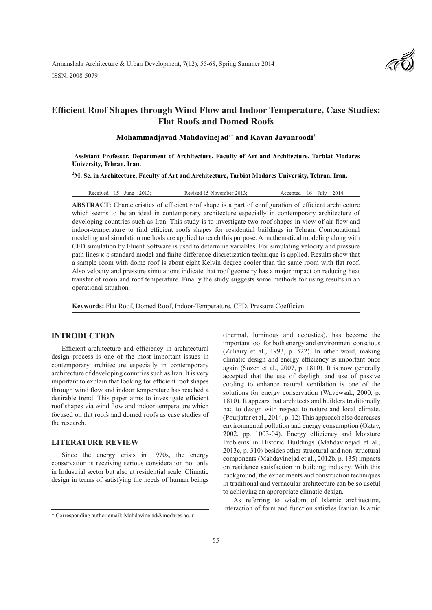# **Efficient Roof Shapes through Wind Flow and Indoor Temperature, Case Studies: Flat Roofs and Domed Roofs**

# **Mohammadjavad Mahdavinejad1\* and Kavan Javanroodi<sup>2</sup>**

<sup>1</sup> Assistant Professor, Department of Architecture, Faculty of Art and Architecture, Tarbiat Modares **University, Tehran, Iran.**

2 **M. Sc. in Architecture, Faculty of Art and Architecture, Tarbiat Modares University, Tehran, Iran.**

Received 15 June 2013; Revised 15 November 2013; Accepted 16 July 2014

**ABSTRACT:** Characteristics of efficient roof shape is a part of configuration of efficient architecture which seems to be an ideal in contemporary architecture especially in contemporary architecture of developing countries such as Iran. This study is to investigate two roof shapes in view of air flow and indoor-temperature to find efficient roofs shapes for residential buildings in Tehran. Computational modeling and simulation methods are applied to reach this purpose. A mathematical modeling along with CFD simulation by Fluent Software is used to determine variables. For simulating velocity and pressure path lines κ-ε standard model and finite difference discretization technique is applied. Results show that a sample room with dome roof is about eight Kelvin degree cooler than the same room with flat roof. Also velocity and pressure simulations indicate that roof geometry has a major impact on reducing heat transfer of room and roof temperature. Finally the study suggests some methods for using results in an operational situation.

**Keywords:** Flat Roof, Domed Roof, Indoor-Temperature, CFD, Pressure Coefficient.

### **INTRODUCTION**

Efficient architecture and efficiency in architectural design process is one of the most important issues in contemporary architecture especially in contemporary architecture of developing countries such as Iran. It is very important to explain that looking for efficient roof shapes through wind flow and indoor temperature has reached a desirable trend. This paper aims to investigate efficient roof shapes via wind flow and indoor temperature which focused on flat roofs and domed roofs as case studies of the research.

# **LITERATURE REVIEW**

Since the energy crisis in 1970s, the energy conservation is receiving serious consideration not only in Industrial sector but also at residential scale. Climatic design in terms of satisfying the needs of human beings

(thermal, luminous and acoustics), has become the important tool for both energy and environment conscious (Zuhairy et al., 1993, p. 522). In other word, making climatic design and energy efficiency is important once again (Sozen et al., 2007, p. 1810). It is now generally accepted that the use of daylight and use of passive cooling to enhance natural ventilation is one of the solutions for energy conservation (Wavewsak, 2000, p. 1810). It appears that architects and builders traditionally had to design with respect to nature and local climate. (Pourjafar et al., 2014, p. 12) This approach also decreases environmental pollution and energy consumption (Oktay, 2002, pp. 1003-04). Energy efficiency and Moisture Problems in Historic Buildings (Mahdavinejad et al., 2013c, p. 310) besides other structural and non-structural components (Mahdavinejad et al., 2012b, p. 135) impacts on residence satisfaction in building industry. With this background, the experiments and construction techniques in traditional and vernacular architecture can be so useful to achieving an appropriate climatic design.

As referring to wisdom of Islamic architecture, interaction of form and function satisfies Iranian Islamic



<sup>\*</sup> Corresponding author email: Mahdavinejad@modares.ac.ir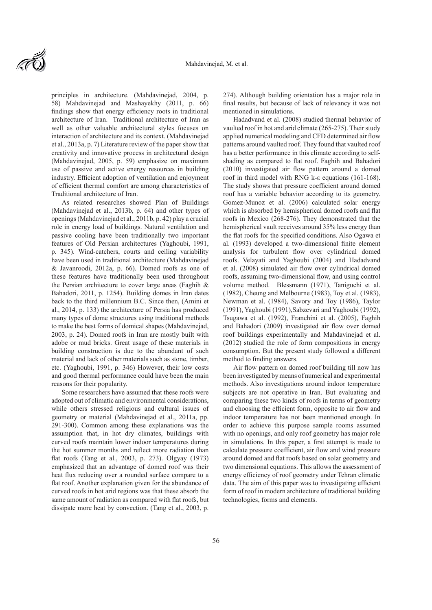principles in architecture. (Mahdavinejad, 2004, p. 58) Mahdavinejad and Mashayekhy (2011, p. 66) findings show that energy efficiency roots in traditional architecture of Iran. Traditional architecture of Iran as well as other valuable architectural styles focuses on interaction of architecture and its context. (Mahdavinejad et al., 2013a, p. 7) Literature review of the paper show that creativity and innovative process in architectural design (Mahdavinejad, 2005, p. 59) emphasize on maximum use of passive and active energy resources in building industry. Efficient adoption of ventilation and enjoyment of efficient thermal comfort are among characteristics of Traditional architecture of Iran.

As related researches showed Plan of Buildings (Mahdavinejad et al., 2013b, p. 64) and other types of openings (Mahdavinejad et al., 2011b, p. 42) play a crucial role in energy load of buildings. Natural ventilation and passive cooling have been traditionally two important features of Old Persian architectures (Yaghoubi, 1991, p. 345). Wind-catchers, courts and ceiling variability have been used in traditional architecture (Mahdavinejad & Javanroodi, 2012a, p. 66). Domed roofs as one of these features have traditionally been used throughout the Persian architecture to cover large areas (Faghih & Bahadori, 2011, p. 1254). Building domes in Iran dates back to the third millennium B.C. Since then, (Amini et al., 2014, p. 133) the architecture of Persia has produced many types of dome structures using traditional methods to make the best forms of domical shapes (Mahdavinejad, 2003, p. 24). Domed roofs in Iran are mostly built with adobe or mud bricks. Great usage of these materials in building construction is due to the abundant of such material and lack of other materials such as stone, timber, etc. (Yaghoubi, 1991, p. 346) However, their low costs and good thermal performance could have been the main reasons for their popularity.

Some researchers have assumed that these roofs were adopted out of climatic and environmental considerations, while others stressed religious and cultural issues of geometry or material (Mahdavinejad et al., 2011a, pp. 291-300). Common among these explanations was the assumption that, in hot dry climates, buildings with curved roofs maintain lower indoor temperatures during the hot summer months and reflect more radiation than flat roofs (Tang et al., 2003, p. 273). Olgyay (1973) emphasized that an advantage of domed roof was their heat flux reducing over a rounded surface compare to a flat roof. Another explanation given for the abundance of curved roofs in hot arid regions was that these absorb the same amount of radiation as compared with flat roofs, but dissipate more heat by convection. (Tang et al., 2003, p.

274). Although building orientation has a major role in final results, but because of lack of relevancy it was not mentioned in simulations.

Hadadvand et al. (2008) studied thermal behavior of vaulted roof in hot and arid climate (265-275). Their study applied numerical modeling and CFD determined air flow patterns around vaulted roof. They found that vaulted roof has a better performance in this climate according to selfshading as compared to flat roof. Faghih and Bahadori (2010) investigated air flow pattern around a domed roof in third model with RNG k-ε equations (161-168). The study shows that pressure coefficient around domed roof has a variable behavior according to its geometry. Gomez-Munoz et al. (2006) calculated solar energy which is absorbed by hemispherical domed roofs and flat roofs in Mexico (268-276). They demonstrated that the hemispherical vault receives around 35% less energy than the flat roofs for the specified conditions. Also Ogawa et al. (1993) developed a two-dimensional finite element analysis for turbulent flow over cylindrical domed roofs. Velayati and Yaghoubi (2004) and Hadadvand et al. (2008) simulated air flow over cylindrical domed roofs, assuming two-dimensional flow, and using control volume method. Blessmann (1971), Taniguchi et al. (1982), Cheung and Melbourne (1983), Toy et al. (1983), Newman et al. (1984), Savory and Toy (1986), Taylor (1991), Yaghoubi (1991),Sabzevari and Yaghoubi (1992), Tsugawa et al. (1992), Franchini et al. (2005), Faghih and Bahadori (2009) investigated air flow over domed roof buildings experimentally and Mahdavinejad et al. (2012) studied the role of form compositions in energy consumption. But the present study followed a different method to finding answers.

Air flow pattern on domed roof building till now has been investigated by means of numerical and experimental methods. Also investigations around indoor temperature subjects are not operative in Iran. But evaluating and comparing these two kinds of roofs in terms of geometry and choosing the efficient form, opposite to air flow and indoor temperature has not been mentioned enough. In order to achieve this purpose sample rooms assumed with no openings, and only roof geometry has major role in simulations. In this paper, a first attempt is made to calculate pressure coefficient, air flow and wind pressure around domed and flat roofs based on solar geometry and two dimensional equations. This allows the assessment of energy efficiency of roof geometry under Tehran climatic data. The aim of this paper was to investigating efficient form of roof in modern architecture of traditional building technologies, forms and elements.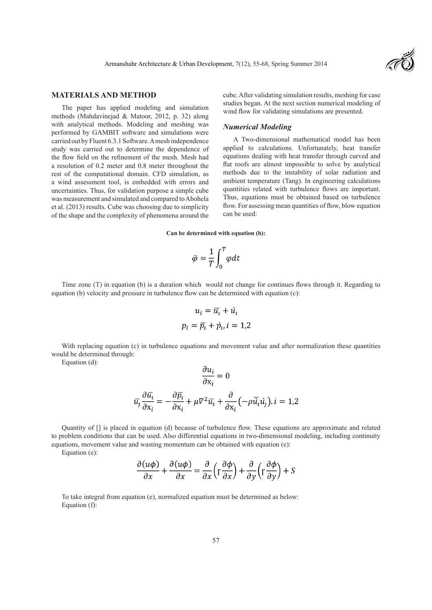

#### **MATERIALS AND METHOD**

The paper has applied modeling and simulation methods (Mahdavinejad & Matoor, 2012, p. 32) along with analytical methods. Modeling and meshing was performed by GAMBIT software and simulations were carried out by Fluent 6.3.1 Software. A mesh independence study was carried out to determine the dependence of the flow field on the refinement of the mesh. Mesh had a resolution of 0.2 meter and 0.8 meter throughout the rest of the computational domain. CFD simulation, as a wind assessment tool, is embedded with errors and uncertainties. Thus, for validation purpose a simple cube was measurement and simulated and compared to Abohela et al. (2013) results. Cube was choosing due to simplicity of the shape and the complexity of phenomena around the

cube. After validating simulation results, meshing for case studies began. At the next section numerical modeling of wind flow for validating simulations are presented.

#### *Numerical Modeling*

A Two-dimensional mathematical model has been applied to calculations. Unfortunately, heat transfer equations dealing with heat transfer through curved and flat roofs are almost impossible to solve by analytical methods due to the instability of solar radiation and ambient temperature (Tang). In engineering calculations quantities related with turbulence flows are important. Thus, equations must be obtained based on turbulence flow. For assessing mean quantities of flow, blow equation can be used:

**Can be determined with equation (b):**

$$
\bar{\varphi} = \frac{1}{T} \int_0^T \varphi dt
$$

Time zone (T) in equation (b) is a duration which would not change for continues flows through it. Regarding to equation (b) velocity and pressure in turbulence flow can be determined with equation (c):

$$
u_i = \overline{u}_i + \overline{u}_i
$$

$$
p_i = \overline{p}_i + \overline{p}_i, i = 1, 2
$$

With replacing equation (c) in turbulence equations and movement value and after normalization these quantities would be determined through:

 $\sim$ 

Equation (d):

$$
\frac{\partial u_i}{\partial x_i} = 0
$$

$$
\overline{u_j} \frac{\partial \overline{u_i}}{\partial x_i} = -\frac{\partial \overline{p_i}}{\partial x_i} + \mu \nabla^2 \overline{u_i} + \frac{\partial}{\partial x_i} \left( -\rho \overline{u_i} u_j \right), i = 1, 2
$$

Quantity of [] is placed in equation (d) because of turbulence flow. These equations are approximate and related to problem conditions that can be used. Also differential equations in two-dimensional modeling, including continuity equations, movement value and wasting momentum can be obtained with equation (e):

Equation (e):

$$
\frac{\partial (u\phi)}{\partial x} + \frac{\partial (u\phi)}{\partial x} = \frac{\partial}{\partial x} \left( \frac{\partial \phi}{\partial x} \right) + \frac{\partial}{\partial y} \left( \frac{\partial \phi}{\partial y} \right) + S
$$

To take integral from equation (e), normalized equation must be determined as below: Equation (f):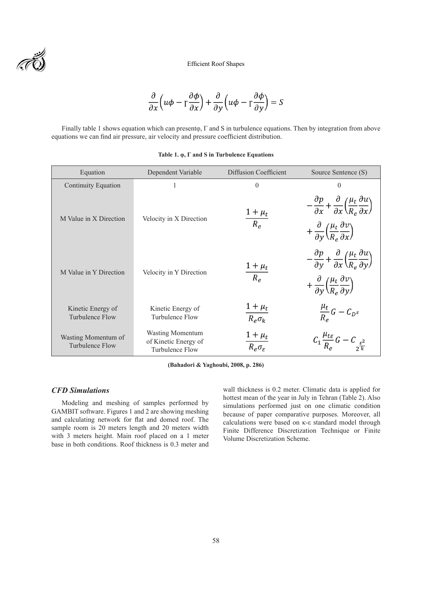Efficient Roof Shapes

$$
\frac{\partial}{\partial x}\left(u\phi - \frac{\partial\phi}{\partial x}\right) + \frac{\partial}{\partial y}\left(u\phi - \frac{\partial\phi}{\partial y}\right) = S
$$

Finally table 1 shows equation which can presentφ, Γ and S in turbulence equations. Then by integration from above equations we can find air pressure, air velocity and pressure coefficient distribution.

| Equation                                      | Dependent Variable                                                 | Diffusion Coefficient                     | Source Sentence (S)                                                                                                                                                                                                        |
|-----------------------------------------------|--------------------------------------------------------------------|-------------------------------------------|----------------------------------------------------------------------------------------------------------------------------------------------------------------------------------------------------------------------------|
| <b>Continuity Equation</b>                    |                                                                    | $\theta$                                  | $\theta$                                                                                                                                                                                                                   |
| M Value in X Direction                        | Velocity in X Direction                                            | $\frac{1+\mu_t}{R_e}$                     | $-\frac{\partial p}{\partial x} + \frac{\partial}{\partial x} \left(\frac{\mu_t}{R_e} \frac{\partial u}{\partial x}\right)$<br>$+\frac{\partial}{\partial y}\left(\frac{\mu_t}{R_e}\frac{\partial v}{\partial x}\right)$   |
| M Value in Y Direction                        | Velocity in Y Direction                                            | $\frac{1+\mu_t}{R_e}$                     | $-\frac{\partial p}{\partial y} + \frac{\partial}{\partial x} \left( \frac{\mu_t}{R_e} \frac{\partial u}{\partial y} \right)$<br>$+\frac{\partial}{\partial y}\left(\frac{\mu_t}{R_e}\frac{\partial v}{\partial y}\right)$ |
| Kinetic Energy of<br>Turbulence Flow          | Kinetic Energy of<br>Turbulence Flow                               | $\frac{1+\mu_t}{R_e \sigma_k}$            | $\frac{\mu_t}{R_{\perp}}G-C_{D^{\varepsilon}}$                                                                                                                                                                             |
| Wasting Momentum of<br><b>Turbulence Flow</b> | <b>Wasting Momentum</b><br>of Kinetic Energy of<br>Turbulence Flow | $\frac{1+\mu_t}{R_e\sigma_{\varepsilon}}$ | $C_1 \frac{\mu_{t\epsilon}}{R_a} G - C_{\epsilon^2 \frac{\epsilon^2}{k}}$                                                                                                                                                  |

**(Bahadori & Yaghoubi, 2008, p. 286)**

# *CFD Simulations*

Modeling and meshing of samples performed by GAMBIT software. Figures 1 and 2 are showing meshing and calculating network for flat and domed roof. The sample room is 20 meters length and 20 meters width with 3 meters height. Main roof placed on a 1 meter base in both conditions. Roof thickness is 0.3 meter and wall thickness is 0.2 meter. Climatic data is applied for hottest mean of the year in July in Tehran (Table 2). Also simulations performed just on one climatic condition because of paper comparative purposes. Moreover, all calculations were based on κ-ε standard model through Finite Difference Discretization Technique or Finite Volume Discretization Scheme.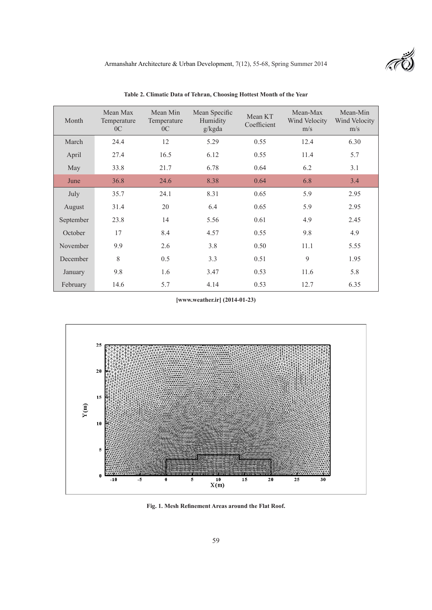| Month     | Mean Max<br>Temperature<br>0 <sup>C</sup> | Mean Min<br>Temperature<br>0 <sup>C</sup> | Mean Specific<br>Humidity<br>g/kgda | Mean KT<br>Coefficient | Mean-Max<br>Wind Velocity<br>m/s | Mean-Min<br>Wind Velocity<br>m/s |
|-----------|-------------------------------------------|-------------------------------------------|-------------------------------------|------------------------|----------------------------------|----------------------------------|
| March     | 24.4                                      | 12                                        | 5.29                                | 0.55                   | 12.4                             | 6.30                             |
| April     | 27.4                                      | 16.5                                      | 6.12                                | 0.55                   | 11.4                             | 5.7                              |
| May       | 33.8                                      | 21.7                                      | 6.78                                | 0.64                   | 6.2                              | 3.1                              |
| June      | 36.8                                      | 24.6                                      | 8.38                                | 0.64                   | 6.8                              | 3.4                              |
| July      | 35.7                                      | 24.1                                      | 8.31                                | 0.65                   | 5.9                              | 2.95                             |
| August    | 31.4                                      | 20                                        | 6.4                                 | 0.65                   | 5.9                              | 2.95                             |
| September | 23.8                                      | 14                                        | 5.56                                | 0.61                   | 4.9                              | 2.45                             |
| October   | 17                                        | 8.4                                       | 4.57                                | 0.55                   | 9.8                              | 4.9                              |
| November  | 9.9                                       | 2.6                                       | 3.8                                 | 0.50                   | 11.1                             | 5.55                             |
| December  | 8                                         | 0.5                                       | 3.3                                 | 0.51                   | 9                                | 1.95                             |
| January   | 9.8                                       | 1.6                                       | 3.47                                | 0.53                   | 11.6                             | 5.8                              |
| February  | 14.6                                      | 5.7                                       | 4.14                                | 0.53                   | 12.7                             | 6.35                             |

**Table 2. Climatic Data of Tehran, Choosing Hottest Month of the Year**

**[www.weather.ir] (2014-01-23)**



**Fig. 1. Mesh Refinement Areas around the Flat Roof.**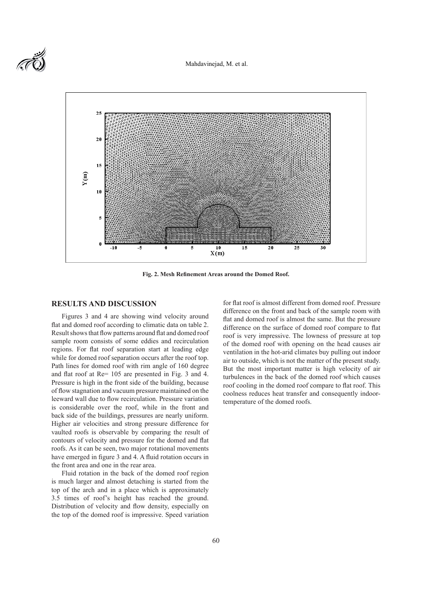Mahdavinejad, M. et al.



**Fig. 2. Mesh Refinement Areas around the Domed Roof.**

#### **RESULTS AND DISCUSSION**

Figures 3 and 4 are showing wind velocity around flat and domed roof according to climatic data on table 2. Result shows that flow patterns around flat and domed roof sample room consists of some eddies and recirculation regions. For flat roof separation start at leading edge while for domed roof separation occurs after the roof top. Path lines for domed roof with rim angle of 160 degree and flat roof at Re= 105 are presented in Fig. 3 and 4. Pressure is high in the front side of the building, because of flow stagnation and vacuum pressure maintained on the leeward wall due to flow recirculation. Pressure variation is considerable over the roof, while in the front and back side of the buildings, pressures are nearly uniform. Higher air velocities and strong pressure difference for vaulted roofs is observable by comparing the result of contours of velocity and pressure for the domed and flat roofs. As it can be seen, two major rotational movements have emerged in figure 3 and 4. A fluid rotation occurs in the front area and one in the rear area.

Fluid rotation in the back of the domed roof region is much larger and almost detaching is started from the top of the arch and in a place which is approximately 3.5 times of roof's height has reached the ground. Distribution of velocity and flow density, especially on the top of the domed roof is impressive. Speed variation

for flat roof is almost different from domed roof. Pressure difference on the front and back of the sample room with flat and domed roof is almost the same. But the pressure difference on the surface of domed roof compare to flat roof is very impressive. The lowness of pressure at top of the domed roof with opening on the head causes air ventilation in the hot-arid climates buy pulling out indoor air to outside, which is not the matter of the present study. But the most important matter is high velocity of air turbulences in the back of the domed roof which causes roof cooling in the domed roof compare to flat roof. This coolness reduces heat transfer and consequently indoortemperature of the domed roofs.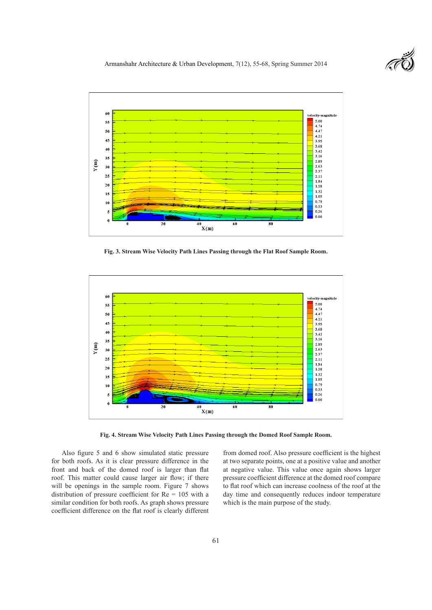



**Fig. 3. Stream Wise Velocity Path Lines Passing through the Flat Roof Sample Room.**



**Fig. 4. Stream Wise Velocity Path Lines Passing through the Domed Roof Sample Room.**

Also figure 5 and 6 show simulated static pressure for both roofs. As it is clear pressure difference in the front and back of the domed roof is larger than flat roof. This matter could cause larger air flow; if there will be openings in the sample room. Figure 7 shows distribution of pressure coefficient for Re = 105 with a similar condition for both roofs. As graph shows pressure coefficient difference on the flat roof is clearly different from domed roof. Also pressure coefficient is the highest at two separate points, one at a positive value and another at negative value. This value once again shows larger pressure coefficient difference at the domed roof compare to flat roof which can increase coolness of the roof at the day time and consequently reduces indoor temperature which is the main purpose of the study.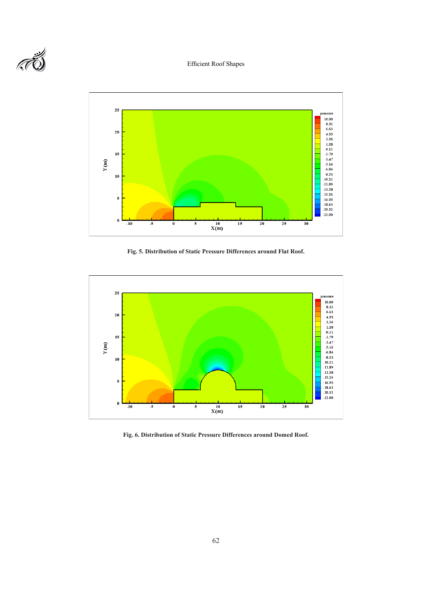# Efficient Roof Shapes





**Fig. 5. Distribution of Static Pressure Differences around Flat Roof.**



**Fig. 6. Distribution of Static Pressure Differences around Domed Roof.**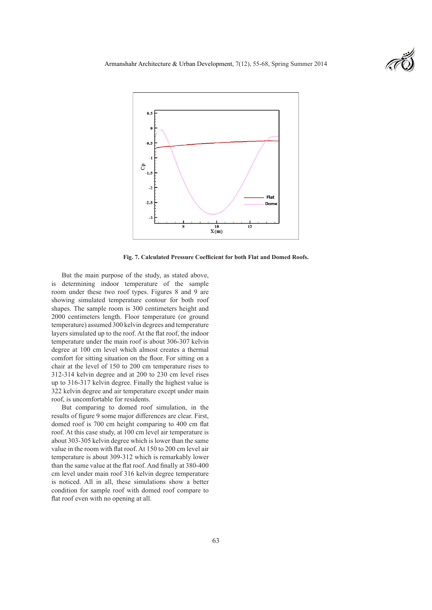



**Fig. 7. Calculated Pressure Coefficient for both Flat and Domed Roofs.**

But the main purpose of the study, as stated above, is determining indoor temperature of the sample room under these two roof types. Figures 8 and 9 are showing simulated temperature contour for both roof shapes. The sample room is 300 centimeters height and 2000 centimeters length. Floor temperature (or ground temperature) assumed 300 kelvin degrees and temperature layers simulated up to the roof. At the flat roof, the indoor temperature under the main roof is about 306-307 kelvin degree at 100 cm level which almost creates a thermal comfort for sitting situation on the floor. For sitting on a chair at the level of 150 to 200 cm temperature rises to 312-314 kelvin degree and at 200 to 230 cm level rises up to 316-317 kelvin degree. Finally the highest value is 322 kelvin degree and air temperature except under main roof, is uncomfortable for residents.

But comparing to domed roof simulation, in the results of figure 9 some major differences are clear. First, domed roof is 700 cm height comparing to 400 cm flat roof. At this case study, at 100 cm level air temperature is about 303-305 kelvin degree which is lower than the same value in the room with flat roof. At 150 to 200 cm level air temperature is about 309-312 which is remarkably lower than the same value at the flat roof. And finally at 380-400 cm level under main roof 316 kelvin degree temperature is noticed. All in all, these simulations show a better condition for sample roof with domed roof compare to flat roof even with no opening at all.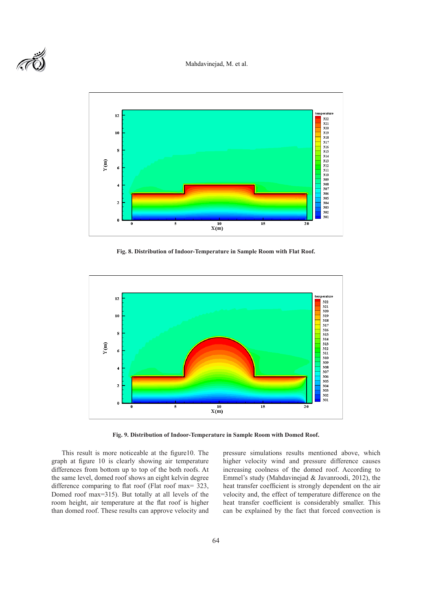#### Mahdavinejad, M. et al.





**Fig. 8. Distribution of Indoor-Temperature in Sample Room with Flat Roof.**



**Fig. 9. Distribution of Indoor-Temperature in Sample Room with Domed Roof.**

This result is more noticeable at the figure10. The graph at figure 10 is clearly showing air temperature differences from bottom up to top of the both roofs. At the same level, domed roof shows an eight kelvin degree difference comparing to flat roof (Flat roof max= 323, Domed roof max=315). But totally at all levels of the room height, air temperature at the flat roof is higher than domed roof. These results can approve velocity and

pressure simulations results mentioned above, which higher velocity wind and pressure difference causes increasing coolness of the domed roof. According to Emmel's study (Mahdavinejad & Javanroodi, 2012), the heat transfer coefficient is strongly dependent on the air velocity and, the effect of temperature difference on the heat transfer coefficient is considerably smaller. This can be explained by the fact that forced convection is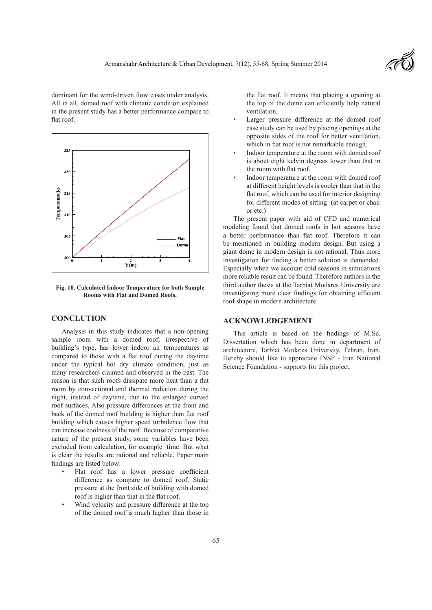

dominant for the wind-driven flow cases under analysis. All in all, domed roof with climatic condition explained in the present study has a better performance compare to flat roof.



**Fig. 10. Calculated Indoor Temperature for both Sample Rooms with Flat and Domed Roofs.**

## **CONCLUTION**

Analysis in this study indicates that a non-opening sample room with a domed roof, irrespective of building's type, has lower indoor air temperatures as compared to those with a flat roof during the daytime under the typical hot dry climate condition, just as many researchers claimed and observed in the past. The reason is that such roofs dissipate more heat than a flat room by convectional and thermal radiation during the night, instead of daytime, due to the enlarged curved roof surfaces, Also pressure differences at the front and back of the domed roof building is higher than flat roof building which causes higher speed turbulence flow that can increase coolness of the roof. Because of comparative nature of the present study, some variables have been excluded from calculation, for example time. But what is clear the results are rational and reliable. Paper main findings are listed below:

- Flat roof has a lower pressure coefficient difference as compare to domed roof. Static pressure at the front side of building with domed roof is higher than that in the flat roof.
- Wind velocity and pressure difference at the top of the domed roof is much higher than those in

the flat roof. It means that placing a opening at the top of the dome can efficiently help natural ventilation.

- Larger pressure difference at the domed roof case study can be used by placing openings at the opposite sides of the roof for better ventilation, which in flat roof is not remarkable enough.
- Indoor temperature at the room with domed roof is about eight kelvin degrees lower than that in the room with flat roof.
- Indoor temperature at the room with domed roof at different height levels is cooler than that in the flat roof, which can be used for interior designing for different modes of sitting (at carpet or chair or etc.)

The present paper with aid of CFD and numerical modeling found that domed roofs in hot seasons have a better performance than flat roof. Therefore it can be mentioned in building modern design. But using a giant dome in modern design is not rational. Thus more investigation for finding a better solution is demanded. Especially when we account cold seasons in simulations more reliable result can be found. Therefore authors in the third author thesis at the Tarbiat Modares University are investigating more clear findings for obtaining efficient roof shape in modern architecture.

# **ACKNOWLEDGEMENT**

This article is based on the findings of M.Sc. Dissertation which has been done in department of architecture, Tarbiat Modares University, Tehran, Iran. Hereby should like to appreciate INSF - Iran National Science Foundation - supports for this project.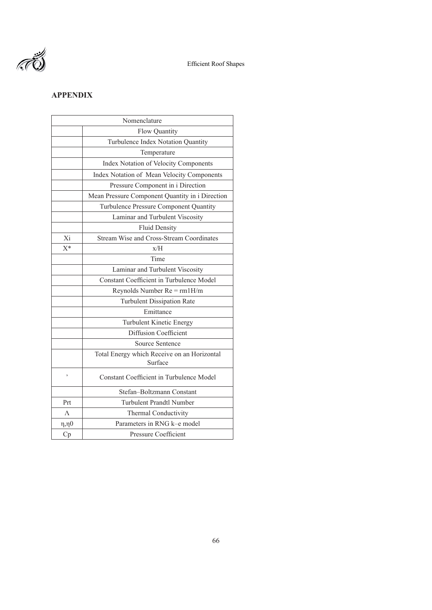

# **APPENDIX**

|                | Nomenclature                                           |  |  |  |  |
|----------------|--------------------------------------------------------|--|--|--|--|
|                | Flow Quantity                                          |  |  |  |  |
|                | Turbulence Index Notation Quantity                     |  |  |  |  |
|                | Temperature                                            |  |  |  |  |
|                | Index Notation of Velocity Components                  |  |  |  |  |
|                | Index Notation of Mean Velocity Components             |  |  |  |  |
|                | Pressure Component in i Direction                      |  |  |  |  |
|                | Mean Pressure Component Quantity in i Direction        |  |  |  |  |
|                | Turbulence Pressure Component Quantity                 |  |  |  |  |
|                | Laminar and Turbulent Viscosity                        |  |  |  |  |
|                | <b>Fluid Density</b>                                   |  |  |  |  |
| Xi             | Stream Wise and Cross-Stream Coordinates               |  |  |  |  |
| $X^*$          | x/H                                                    |  |  |  |  |
|                | Time                                                   |  |  |  |  |
|                | Laminar and Turbulent Viscosity                        |  |  |  |  |
|                | Constant Coefficient in Turbulence Model               |  |  |  |  |
|                | Reynolds Number $Re = r m 1 H/m$                       |  |  |  |  |
|                | <b>Turbulent Dissipation Rate</b>                      |  |  |  |  |
|                | Emittance                                              |  |  |  |  |
|                | Turbulent Kinetic Energy                               |  |  |  |  |
|                | <b>Diffusion Coefficient</b>                           |  |  |  |  |
|                | <b>Source Sentence</b>                                 |  |  |  |  |
|                | Total Energy which Receive on an Horizontal<br>Surface |  |  |  |  |
| ,              | <b>Constant Coefficient in Turbulence Model</b>        |  |  |  |  |
|                | Stefan-Boltzmann Constant                              |  |  |  |  |
| Prt            | <b>Turbulent Prandtl Number</b>                        |  |  |  |  |
| $\Lambda$      | Thermal Conductivity                                   |  |  |  |  |
| $\eta, \eta 0$ | Parameters in RNG k-e model                            |  |  |  |  |
| Cp             | Pressure Coefficient                                   |  |  |  |  |
|                |                                                        |  |  |  |  |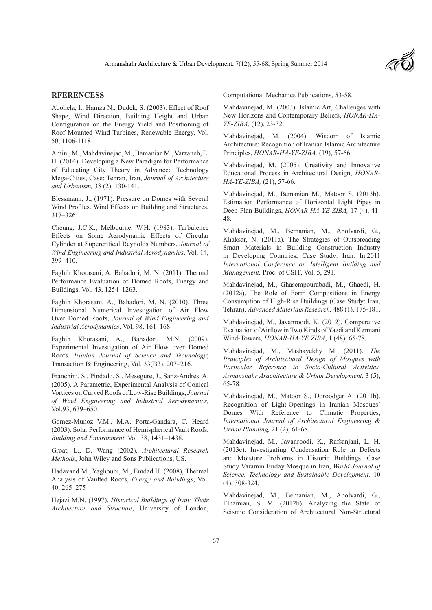

# **RFERENCESS**

Abohela, I., Hamza N., Dudek, S. (2003). Effect of Roof Shape, Wind Direction, Building Height and Urban Configuration on the Energy Yield and Positioning of Roof Mounted Wind Turbines, Renewable Energy, Vol. 50, 1106-1118

Amini, M., Mahdavinejad, M., Bemanian M., Varzaneh, E. H. (2014). Developing a New Paradigm for Performance of Educating City Theory in Advanced Technology Mega-Cities, Case: Tehran, Iran, *Journal of Architecture and Urbanism,* 38 (2), 130-141.

Blessmann, J., (1971). Pressure on Domes with Several Wind Profiles. Wind Effects on Building and Structures, 317–326

Cheung, J.C.K., Melbourne, W.H. (1983). Turbulence Effects on Some Aerodynamic Effects of Circular Cylinder at Supercritical Reynolds Numbers, *Journal of Wind Engineering and Industrial Aerodynamics*, Vol. 14, 399–410.

Faghih Khorasani, A. Bahadori, M. N. (2011). Thermal Performance Evaluation of Domed Roofs, Energy and Buildings, Vol. 43, 1254–1263.

Faghih Khorasani, A., Bahadori, M. N. (2010). Three Dimensional Numerical Investigation of Air Flow Over Domed Roofs, *Journal of Wind Engineering and Industrial Aerodynamics*, Vol. 98, 161–168

Faghih Khorasani, A., Bahadori, M.N. (2009). Experimental Investigation of Air Flow over Domed Roofs. *Iranian Journal of Science and Technology*; Transaction B: Engineering, Vol. 33(B3), 207–216.

Franchini, S., Pindado, S., Mesegure, J., Sanz-Andres, A. (2005). A Parametric, Experimental Analysis of Conical Vortices on Curved Roofs of Low-Rise Buildings, *Journal of Wind Engineering and Industrial Aerodynamics,* Vol.93, 639–650.

Gomez-Munoz V.M., M.A. Porta-Gandara, C. Heard (2003). Solar Performance of Hemispherical Vault Roofs, *Building and Environment*, Vol. 38, 1431–1438.

Groat, L., D. Wang (2002). *Architectural Research Methods*, John Wiley and Sons Publications, US.

Hadavand M., Yaghoubi, M., Emdad H. (2008), Thermal Analysis of Vaulted Roofs, *Energy and Buildings*, Vol. 40, 265–275

Hejazi M.N. (1997). *Historical Buildings of Iran: Their Architecture and Structure*, University of London,

Computational Mechanics Publications, 53-58.

Mahdavinejad, M. (2003). Islamic Art, Challenges with New Horizons and Contemporary Beliefs, *HONAR-HA-YE-ZIBA,* (12), 23-32.

Mahdavinejad, M. (2004). Wisdom of Islamic Architecture: Recognition of Iranian Islamic Architecture Principles, *HONAR-HA-YE-ZIBA,* (19), 57-66.

Mahdavinejad, M. (2005). Creativity and Innovative Educational Process in Architectural Design, *HONAR-HA-YE-ZIBA,* (21), 57-66.

Mahdavinejad, M., Bemanian M., Matoor S. (2013b). Estimation Performance of Horizontal Light Pipes in Deep-Plan Buildings, *HONAR-HA-YE-ZIBA,* 17 (4), 41- 48.

Mahdavinejad, M., Bemanian, M., Abolvardi, G., Khaksar, N. (2011a). The Strategies of Outspreading Smart Materials in Building Construction Industry in Developing Countries; Case Study: Iran. In 2011 *International Conference on Intelligent Building and Management.* Proc. of CSIT, Vol. 5, 291.

Mahdavinejad, M., Ghasempourabadi, M., Ghaedi, H. (2012a). The Role of Form Compositions in Energy Consumption of High-Rise Buildings (Case Study: Iran, Tehran). *Advanced Materials Research,* 488 (1), 175-181.

Mahdavinejad, M., Javanroodi, K. (2012), Comparative Evaluation of Airflow in Two Kinds of Yazdi and Kermani Wind-Towers, *HONAR-HA-YE ZIBA*, 1 (48), 65-78.

Mahdavinejad, M., Mashayekhy M. (2011). *The Principles of Architectural Design of Mosques with Particular Reference to Socio-Cultural Activities, Armanshahr Arachitecture & Urban Development*, 3 (5), 65-78.

Mahdavinejad, M., Matoor S., Doroodgar A. (2011b). Recognition of Light-Openings in Iranian Mosques' Domes With Reference to Climatic Properties, *International Journal of Architectural Engineering & Urban Planning,* 21 (2), 61-68.

Mahdavinejad, M., Javanroodi, K., Rafsanjani, L. H. (2013c). Investigating Condensation Role in Defects and Moisture Problems in Historic Buildings. Case Study Varamin Friday Mosque in Iran, *World Journal of Science, Technology and Sustainable Development,* 10 (4), 308-324.

Mahdavinejad, M., Bemanian, M., Abolvardi, G., Elhamian, S. M. (2012b). Analyzing the State of Seismic Consideration of Architectural Non-Structural